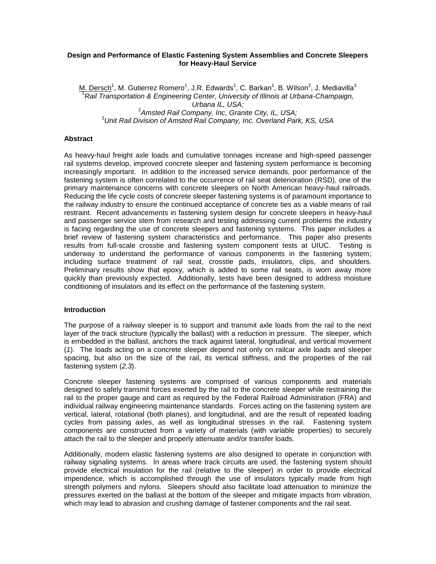### **Design and Performance of Elastic Fastening System Assemblies and Concrete Sleepers for Heavy-Haul Service**

M. Dersch<sup>1</sup>, M. Gutierrez Romero<sup>1</sup>, J.R. Edwards<sup>1</sup>, C. Barkan<sup>1</sup>, B. Wilson<sup>2</sup>, J. Mediavilla<sup>3</sup> <sup>1</sup>*Rail Transportation & Engineering Center, University of Illinois at Urbana-Champaign, Urbana IL, USA;* 2 *Amsted Rail Company, Inc, Granite City, IL, USA;* <sup>3</sup>*Unit Rail Division of Amsted Rail Company, Inc. Overland Park, KS, USA*

#### **Abstract**

As heavy-haul freight axle loads and cumulative tonnages increase and high-speed passenger rail systems develop, improved concrete sleeper and fastening system performance is becoming increasingly important. In addition to the increased service demands, poor performance of the fastening system is often correlated to the occurrence of rail seat deterioration (RSD), one of the primary maintenance concerns with concrete sleepers on North American heavy-haul railroads. Reducing the life cycle costs of concrete sleeper fastening systems is of paramount importance to the railway industry to ensure the continued acceptance of concrete ties as a viable means of rail restraint. Recent advancements in fastening system design for concrete sleepers in heavy-haul and passenger service stem from research and testing addressing current problems the industry is facing regarding the use of concrete sleepers and fastening systems. This paper includes a brief review of fastening system characteristics and performance. This paper also presents results from full-scale crosstie and fastening system component tests at UIUC. Testing is underway to understand the performance of various components in the fastening system; including surface treatment of rail seat, crosstie pads, insulators, clips, and shoulders. Preliminary results show that epoxy, which is added to some rail seats, is worn away more quickly than previously expected. Additionally, tests have been designed to address moisture conditioning of insulators and its effect on the performance of the fastening system.

#### **Introduction**

The purpose of a railway sleeper is to support and transmit axle loads from the rail to the next layer of the track structure (typically the ballast) with a reduction in pressure. The sleeper, which is embedded in the ballast, anchors the track against lateral, longitudinal, and vertical movement (*1*). The loads acting on a concrete sleeper depend not only on railcar axle loads and sleeper spacing, but also on the size of the rail, its vertical stiffness, and the properties of the rail fastening system (*2,3*).

Concrete sleeper fastening systems are comprised of various components and materials designed to safely transmit forces exerted by the rail to the concrete sleeper while restraining the rail to the proper gauge and cant as required by the Federal Railroad Administration (FRA) and individual railway engineering maintenance standards. Forces acting on the fastening system are vertical, lateral, rotational (both planes), and longitudinal, and are the result of repeated loading cycles from passing axles, as well as longitudinal stresses in the rail. Fastening system components are constructed from a variety of materials (with variable properties) to securely attach the rail to the sleeper and properly attenuate and/or transfer loads.

Additionally, modern elastic fastening systems are also designed to operate in conjunction with railway signaling systems. In areas where track circuits are used, the fastening system should provide electrical insulation for the rail (relative to the sleeper) in order to provide electrical impendence, which is accomplished through the use of insulators typically made from high strength polymers and nylons. Sleepers should also facilitate load attenuation to minimize the pressures exerted on the ballast at the bottom of the sleeper and mitigate impacts from vibration, which may lead to abrasion and crushing damage of fastener components and the rail seat.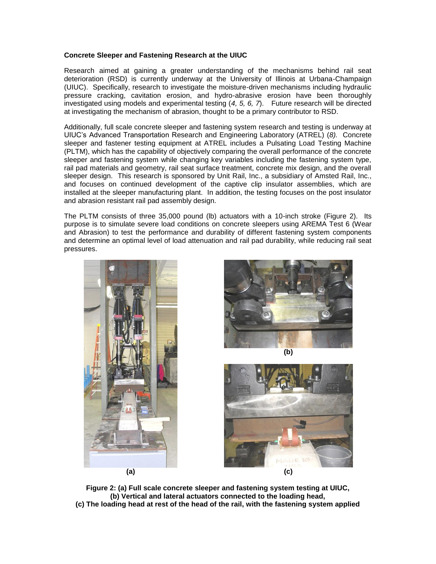## **Concrete Sleeper and Fastening Research at the UIUC**

Research aimed at gaining a greater understanding of the mechanisms behind rail seat deterioration (RSD) is currently underway at the University of Illinois at Urbana-Champaign (UIUC). Specifically, research to investigate the moisture-driven mechanisms including hydraulic pressure cracking, cavitation erosion, and hydro-abrasive erosion have been thoroughly investigated using models and experimental testing (*4, 5, 6, 7*). Future research will be directed at investigating the mechanism of abrasion, thought to be a primary contributor to RSD.

Additionally, full scale concrete sleeper and fastening system research and testing is underway at UIUC's Advanced Transportation Research and Engineering Laboratory (ATREL) (*8).* Concrete sleeper and fastener testing equipment at ATREL includes a Pulsating Load Testing Machine (PLTM), which has the capability of objectively comparing the overall performance of the concrete sleeper and fastening system while changing key variables including the fastening system type, rail pad materials and geometry, rail seat surface treatment, concrete mix design, and the overall sleeper design. This research is sponsored by Unit Rail, Inc., a subsidiary of Amsted Rail, Inc., and focuses on continued development of the captive clip insulator assemblies, which are installed at the sleeper manufacturing plant. In addition, the testing focuses on the post insulator and abrasion resistant rail pad assembly design.

The PLTM consists of three 35,000 pound (lb) actuators with a 10-inch stroke (Figure 2). Its purpose is to simulate severe load conditions on concrete sleepers using AREMA Test 6 (Wear and Abrasion) to test the performance and durability of different fastening system components and determine an optimal level of load attenuation and rail pad durability, while reducing rail seat pressures.









**Figure 2: (a) Full scale concrete sleeper and fastening system testing at UIUC, (b) Vertical and lateral actuators connected to the loading head, (c) The loading head at rest of the head of the rail, with the fastening system applied**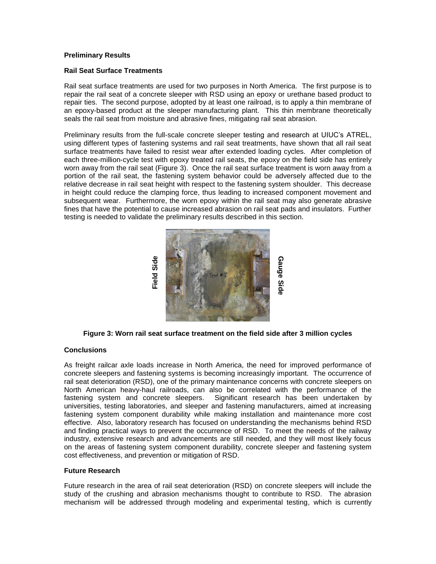## **Preliminary Results**

## **Rail Seat Surface Treatments**

Rail seat surface treatments are used for two purposes in North America. The first purpose is to repair the rail seat of a concrete sleeper with RSD using an epoxy or urethane based product to repair ties. The second purpose, adopted by at least one railroad, is to apply a thin membrane of an epoxy-based product at the sleeper manufacturing plant. This thin membrane theoretically seals the rail seat from moisture and abrasive fines, mitigating rail seat abrasion.

Preliminary results from the full-scale concrete sleeper testing and research at UIUC's ATREL, using different types of fastening systems and rail seat treatments, have shown that all rail seat surface treatments have failed to resist wear after extended loading cycles. After completion of each three-million-cycle test with epoxy treated rail seats, the epoxy on the field side has entirely worn away from the rail seat (Figure 3). Once the rail seat surface treatment is worn away from a portion of the rail seat, the fastening system behavior could be adversely affected due to the relative decrease in rail seat height with respect to the fastening system shoulder. This decrease in height could reduce the clamping force, thus leading to increased component movement and subsequent wear. Furthermore, the worn epoxy within the rail seat may also generate abrasive fines that have the potential to cause increased abrasion on rail seat pads and insulators. Further testing is needed to validate the preliminary results described in this section.



**Figure 3: Worn rail seat surface treatment on the field side after 3 million cycles**

## **Conclusions**

As freight railcar axle loads increase in North America, the need for improved performance of concrete sleepers and fastening systems is becoming increasingly important. The occurrence of rail seat deterioration (RSD), one of the primary maintenance concerns with concrete sleepers on North American heavy-haul railroads, can also be correlated with the performance of the fastening system and concrete sleepers. Significant research has been undertaken by universities, testing laboratories, and sleeper and fastening manufacturers, aimed at increasing fastening system component durability while making installation and maintenance more cost effective. Also, laboratory research has focused on understanding the mechanisms behind RSD and finding practical ways to prevent the occurrence of RSD. To meet the needs of the railway industry, extensive research and advancements are still needed, and they will most likely focus on the areas of fastening system component durability, concrete sleeper and fastening system cost effectiveness, and prevention or mitigation of RSD. mechanism will be addressed through modeling and experimental testing, which is currently modeling and task and task and task and task and task and task and task and task and task and task and task and task and task and ta

#### **Future Research**

Future research in the area of rail seat deterioration (RSD) on concrete sleepers will include the study of the crushing and abrasion mechanisms thought to contribute to RSD. The abrasion